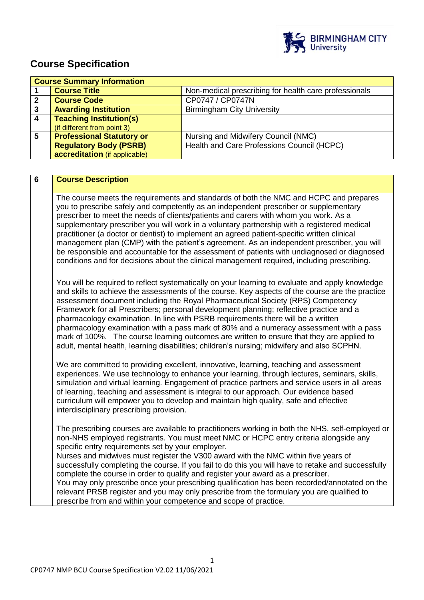

# **Course Specification**

|   | <b>Course Summary Information</b> |                                                       |
|---|-----------------------------------|-------------------------------------------------------|
|   | <b>Course Title</b>               | Non-medical prescribing for health care professionals |
|   | <b>Course Code</b>                | CP0747 / CP0747N                                      |
| 3 | <b>Awarding Institution</b>       | <b>Birmingham City University</b>                     |
| 4 | <b>Teaching Institution(s)</b>    |                                                       |
|   | (if different from point 3)       |                                                       |
| 5 | <b>Professional Statutory or</b>  | Nursing and Midwifery Council (NMC)                   |
|   | <b>Regulatory Body (PSRB)</b>     | Health and Care Professions Council (HCPC)            |
|   | accreditation (if applicable)     |                                                       |

| $6\phantom{1}$ | <b>Course Description</b>                                                                                                                                                                                                                                                                                                                                                                                                                                                                                                                                                                                                                                                                                                                                                                        |
|----------------|--------------------------------------------------------------------------------------------------------------------------------------------------------------------------------------------------------------------------------------------------------------------------------------------------------------------------------------------------------------------------------------------------------------------------------------------------------------------------------------------------------------------------------------------------------------------------------------------------------------------------------------------------------------------------------------------------------------------------------------------------------------------------------------------------|
|                | The course meets the requirements and standards of both the NMC and HCPC and prepares<br>you to prescribe safely and competently as an independent prescriber or supplementary<br>prescriber to meet the needs of clients/patients and carers with whom you work. As a<br>supplementary prescriber you will work in a voluntary partnership with a registered medical<br>practitioner (a doctor or dentist) to implement an agreed patient-specific written clinical<br>management plan (CMP) with the patient's agreement. As an independent prescriber, you will<br>be responsible and accountable for the assessment of patients with undiagnosed or diagnosed<br>conditions and for decisions about the clinical management required, including prescribing.                                 |
|                | You will be required to reflect systematically on your learning to evaluate and apply knowledge<br>and skills to achieve the assessments of the course. Key aspects of the course are the practice<br>assessment document including the Royal Pharmaceutical Society (RPS) Competency<br>Framework for all Prescribers; personal development planning; reflective practice and a<br>pharmacology examination. In line with PSRB requirements there will be a written<br>pharmacology examination with a pass mark of 80% and a numeracy assessment with a pass<br>mark of 100%. The course learning outcomes are written to ensure that they are applied to<br>adult, mental health, learning disabilities; children's nursing; midwifery and also SCPHN.                                        |
|                | We are committed to providing excellent, innovative, learning, teaching and assessment<br>experiences. We use technology to enhance your learning, through lectures, seminars, skills,<br>simulation and virtual learning. Engagement of practice partners and service users in all areas<br>of learning, teaching and assessment is integral to our approach. Our evidence based<br>curriculum will empower you to develop and maintain high quality, safe and effective<br>interdisciplinary prescribing provision.                                                                                                                                                                                                                                                                            |
|                | The prescribing courses are available to practitioners working in both the NHS, self-employed or<br>non-NHS employed registrants. You must meet NMC or HCPC entry criteria alongside any<br>specific entry requirements set by your employer.<br>Nurses and midwives must register the V300 award with the NMC within five years of<br>successfully completing the course. If you fail to do this you will have to retake and successfully<br>complete the course in order to qualify and register your award as a prescriber.<br>You may only prescribe once your prescribing qualification has been recorded/annotated on the<br>relevant PRSB register and you may only prescribe from the formulary you are qualified to<br>prescribe from and within your competence and scope of practice. |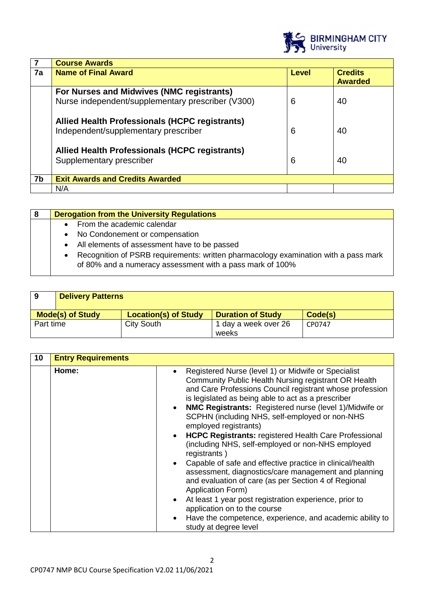

|    | <b>Course Awards</b>                                                                           |       |                                  |
|----|------------------------------------------------------------------------------------------------|-------|----------------------------------|
| 7a | <b>Name of Final Award</b>                                                                     | Level | <b>Credits</b><br><b>Awarded</b> |
|    | For Nurses and Midwives (NMC registrants)<br>Nurse independent/supplementary prescriber (V300) | 6     | 40                               |
|    | Allied Health Professionals (HCPC registrants)<br>Independent/supplementary prescriber         | 6     | 40                               |
|    | <b>Allied Health Professionals (HCPC registrants)</b><br>Supplementary prescriber              | 6     | 40                               |
| 7b | <b>Exit Awards and Credits Awarded</b>                                                         |       |                                  |
|    | N/A                                                                                            |       |                                  |

| 8 | <b>Derogation from the University Regulations</b>                                                                                                             |
|---|---------------------------------------------------------------------------------------------------------------------------------------------------------------|
|   | From the academic calendar<br>$\bullet$                                                                                                                       |
|   | No Condonement or compensation<br>$\bullet$                                                                                                                   |
|   | All elements of assessment have to be passed<br>$\bullet$                                                                                                     |
|   | Recognition of PSRB requirements: written pharmacology examination with a pass mark<br>$\bullet$<br>of 80% and a numeracy assessment with a pass mark of 100% |

| 9         | <b>Delivery Patterns</b> |                             |                          |         |
|-----------|--------------------------|-----------------------------|--------------------------|---------|
|           | <b>Mode(s) of Study</b>  | <b>Location(s) of Study</b> | <b>Duration of Study</b> | Code(s) |
| Part time |                          | City South                  | 1 day a week over 26     | CP0747  |
|           |                          |                             | weeks                    |         |

| 10 | <b>Entry Requirements</b> |                                                                                                                                                                                                                                                                                                                                                                                                                                                                                                                                                                                                                                                                                                                                                                                                                                                                                                                                                             |
|----|---------------------------|-------------------------------------------------------------------------------------------------------------------------------------------------------------------------------------------------------------------------------------------------------------------------------------------------------------------------------------------------------------------------------------------------------------------------------------------------------------------------------------------------------------------------------------------------------------------------------------------------------------------------------------------------------------------------------------------------------------------------------------------------------------------------------------------------------------------------------------------------------------------------------------------------------------------------------------------------------------|
|    | Home:                     | Registered Nurse (level 1) or Midwife or Specialist<br>$\bullet$<br>Community Public Health Nursing registrant OR Health<br>and Care Professions Council registrant whose profession<br>is legislated as being able to act as a prescriber<br>• NMC Registrants: Registered nurse (level 1)/Midwife or<br>SCPHN (including NHS, self-employed or non-NHS<br>employed registrants)<br><b>HCPC Registrants: registered Health Care Professional</b><br>$\bullet$<br>(including NHS, self-employed or non-NHS employed<br>registrants)<br>Capable of safe and effective practice in clinical/health<br>$\bullet$<br>assessment, diagnostics/care management and planning<br>and evaluation of care (as per Section 4 of Regional<br>Application Form)<br>At least 1 year post registration experience, prior to<br>$\bullet$<br>application on to the course<br>Have the competence, experience, and academic ability to<br>$\bullet$<br>study at degree level |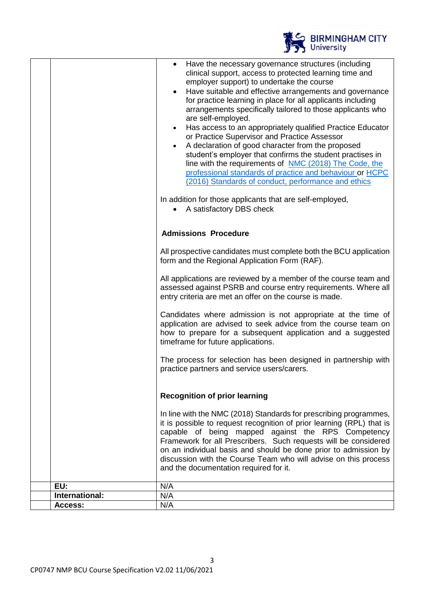|                | BIRMINGHAM CITY                                                                                                                                                                                                                                                                                                                                                                                                                                                                                                                                                                                                                                                                                                                                                                                                                                                                |
|----------------|--------------------------------------------------------------------------------------------------------------------------------------------------------------------------------------------------------------------------------------------------------------------------------------------------------------------------------------------------------------------------------------------------------------------------------------------------------------------------------------------------------------------------------------------------------------------------------------------------------------------------------------------------------------------------------------------------------------------------------------------------------------------------------------------------------------------------------------------------------------------------------|
|                | Have the necessary governance structures (including<br>clinical support, access to protected learning time and<br>employer support) to undertake the course<br>Have suitable and effective arrangements and governance<br>for practice learning in place for all applicants including<br>arrangements specifically tailored to those applicants who<br>are self-employed.<br>Has access to an appropriately qualified Practice Educator<br>or Practice Supervisor and Practice Assessor<br>A declaration of good character from the proposed<br>student's employer that confirms the student practises in<br>line with the requirements of NMC (2018) The Code, the<br>professional standards of practice and behaviour or HCPC<br>(2016) Standards of conduct, performance and ethics<br>In addition for those applicants that are self-employed,<br>A satisfactory DBS check |
|                | <b>Admissions Procedure</b>                                                                                                                                                                                                                                                                                                                                                                                                                                                                                                                                                                                                                                                                                                                                                                                                                                                    |
|                | All prospective candidates must complete both the BCU application<br>form and the Regional Application Form (RAF).                                                                                                                                                                                                                                                                                                                                                                                                                                                                                                                                                                                                                                                                                                                                                             |
|                | All applications are reviewed by a member of the course team and<br>assessed against PSRB and course entry requirements. Where all<br>entry criteria are met an offer on the course is made.                                                                                                                                                                                                                                                                                                                                                                                                                                                                                                                                                                                                                                                                                   |
|                | Candidates where admission is not appropriate at the time of<br>application are advised to seek advice from the course team on<br>how to prepare for a subsequent application and a suggested<br>timeframe for future applications.                                                                                                                                                                                                                                                                                                                                                                                                                                                                                                                                                                                                                                            |
|                | The process for selection has been designed in partnership with<br>practice partners and service users/carers.                                                                                                                                                                                                                                                                                                                                                                                                                                                                                                                                                                                                                                                                                                                                                                 |
|                | <b>Recognition of prior learning</b>                                                                                                                                                                                                                                                                                                                                                                                                                                                                                                                                                                                                                                                                                                                                                                                                                                           |
|                | In line with the NMC (2018) Standards for prescribing programmes,<br>it is possible to request recognition of prior learning (RPL) that is<br>capable of being mapped against the RPS Competency<br>Framework for all Prescribers. Such requests will be considered<br>on an individual basis and should be done prior to admission by<br>discussion with the Course Team who will advise on this process<br>and the documentation required for it.                                                                                                                                                                                                                                                                                                                                                                                                                            |
| EU:            | N/A                                                                                                                                                                                                                                                                                                                                                                                                                                                                                                                                                                                                                                                                                                                                                                                                                                                                            |
| International: | N/A                                                                                                                                                                                                                                                                                                                                                                                                                                                                                                                                                                                                                                                                                                                                                                                                                                                                            |
| Access:        | N/A                                                                                                                                                                                                                                                                                                                                                                                                                                                                                                                                                                                                                                                                                                                                                                                                                                                                            |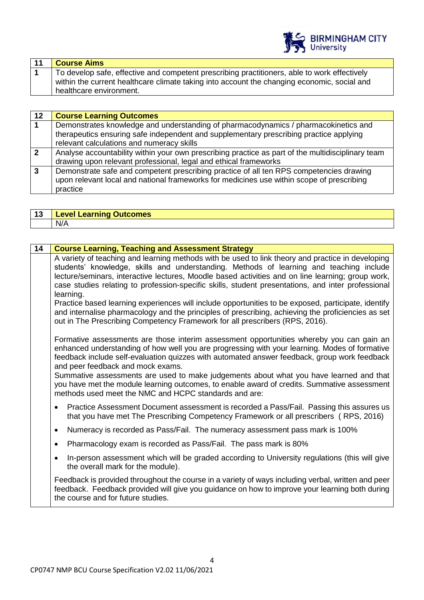

| 11 | <b>Course Aims</b>                                                                           |
|----|----------------------------------------------------------------------------------------------|
|    | To develop safe, effective and competent prescribing practitioners, able to work effectively |
|    | within the current healthcare climate taking into account the changing economic, social and  |
|    | healthcare environment.                                                                      |

| 12             | <b>Course Learning Outcomes</b>                                                                   |
|----------------|---------------------------------------------------------------------------------------------------|
|                | Demonstrates knowledge and understanding of pharmacodynamics / pharmacokinetics and               |
|                | therapeutics ensuring safe independent and supplementary prescribing practice applying            |
|                | relevant calculations and numeracy skills                                                         |
| $\overline{2}$ | Analyse accountability within your own prescribing practice as part of the multidisciplinary team |
|                | drawing upon relevant professional, legal and ethical frameworks                                  |
| 3              | Demonstrate safe and competent prescribing practice of all ten RPS competencies drawing           |
|                | upon relevant local and national frameworks for medicines use within scope of prescribing         |
|                | practice                                                                                          |

| - 49 | <b>Level Learning Outcomes</b> |
|------|--------------------------------|
|      | N/A                            |

| 14 | <b>Course Learning, Teaching and Assessment Strategy</b>                                                                                                                                                                                                                                                                                                                                                |
|----|---------------------------------------------------------------------------------------------------------------------------------------------------------------------------------------------------------------------------------------------------------------------------------------------------------------------------------------------------------------------------------------------------------|
|    | A variety of teaching and learning methods with be used to link theory and practice in developing<br>students' knowledge, skills and understanding. Methods of learning and teaching include<br>lecture/seminars, interactive lectures, Moodle based activities and on line learning; group work,<br>case studies relating to profession-specific skills, student presentations, and inter professional |
|    | learning.<br>Practice based learning experiences will include opportunities to be exposed, participate, identify<br>and internalise pharmacology and the principles of prescribing, achieving the proficiencies as set<br>out in The Prescribing Competency Framework for all prescribers (RPS, 2016).                                                                                                  |
|    | Formative assessments are those interim assessment opportunities whereby you can gain an<br>enhanced understanding of how well you are progressing with your learning. Modes of formative<br>feedback include self-evaluation quizzes with automated answer feedback, group work feedback<br>and peer feedback and mock exams.                                                                          |
|    | Summative assessments are used to make judgements about what you have learned and that<br>you have met the module learning outcomes, to enable award of credits. Summative assessment<br>methods used meet the NMC and HCPC standards and are:                                                                                                                                                          |
|    | Practice Assessment Document assessment is recorded a Pass/Fail. Passing this assures us<br>$\bullet$<br>that you have met The Prescribing Competency Framework or all prescribers (RPS, 2016)                                                                                                                                                                                                          |
|    | Numeracy is recorded as Pass/Fail. The numeracy assessment pass mark is 100%<br>$\bullet$                                                                                                                                                                                                                                                                                                               |
|    | Pharmacology exam is recorded as Pass/Fail. The pass mark is 80%<br>$\bullet$                                                                                                                                                                                                                                                                                                                           |
|    | In-person assessment which will be graded according to University regulations (this will give<br>$\bullet$<br>the overall mark for the module).                                                                                                                                                                                                                                                         |
|    | Feedback is provided throughout the course in a variety of ways including verbal, written and peer<br>feedback. Feedback provided will give you guidance on how to improve your learning both during<br>the course and for future studies.                                                                                                                                                              |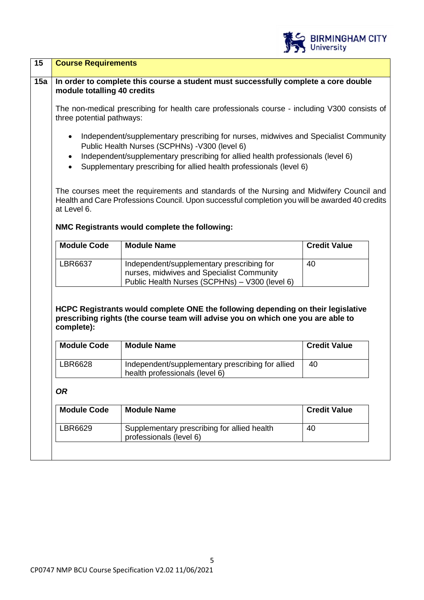| <b>Course Requirements</b>       |                                                                                                                                                                                                                                                                                                |                     |
|----------------------------------|------------------------------------------------------------------------------------------------------------------------------------------------------------------------------------------------------------------------------------------------------------------------------------------------|---------------------|
| module totalling 40 credits      | In order to complete this course a student must successfully complete a core double                                                                                                                                                                                                            |                     |
| three potential pathways:        | The non-medical prescribing for health care professionals course - including V300 consists of                                                                                                                                                                                                  |                     |
| $\bullet$<br>$\bullet$           | Independent/supplementary prescribing for nurses, midwives and Specialist Community<br>Public Health Nurses (SCPHNs) -V300 (level 6)<br>Independent/supplementary prescribing for allied health professionals (level 6)<br>Supplementary prescribing for allied health professionals (level 6) |                     |
| at Level 6.                      | The courses meet the requirements and standards of the Nursing and Midwifery Council and<br>Health and Care Professions Council. Upon successful completion you will be awarded 40 credits<br>NMC Registrants would complete the following:                                                    |                     |
| <b>Module Code</b>               | <b>Module Name</b>                                                                                                                                                                                                                                                                             | <b>Credit Value</b> |
|                                  |                                                                                                                                                                                                                                                                                                |                     |
| LBR6637                          | Independent/supplementary prescribing for<br>nurses, midwives and Specialist Community<br>Public Health Nurses (SCPHNs) - V300 (level 6)                                                                                                                                                       | 40                  |
| complete):<br><b>Module Code</b> | HCPC Registrants would complete ONE the following depending on their legislative<br>prescribing rights (the course team will advise you on which one you are able to<br><b>Module Name</b>                                                                                                     | <b>Credit Value</b> |
| LBR6628                          | Independent/supplementary prescribing for allied<br>health professionals (level 6)                                                                                                                                                                                                             | 40                  |
| <b>OR</b>                        |                                                                                                                                                                                                                                                                                                |                     |
| <b>Module Code</b>               | <b>Module Name</b>                                                                                                                                                                                                                                                                             | <b>Credit Value</b> |

BIRMINGHAM CITY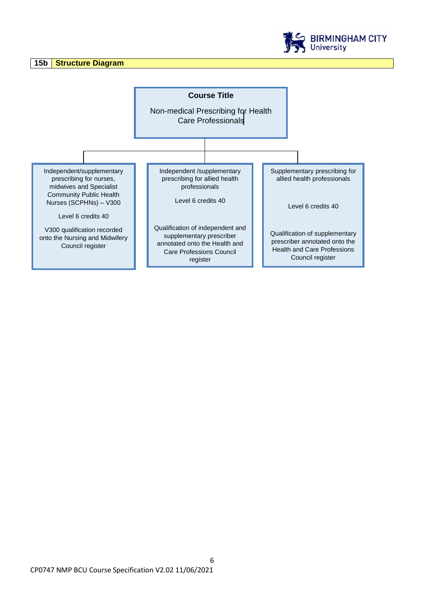